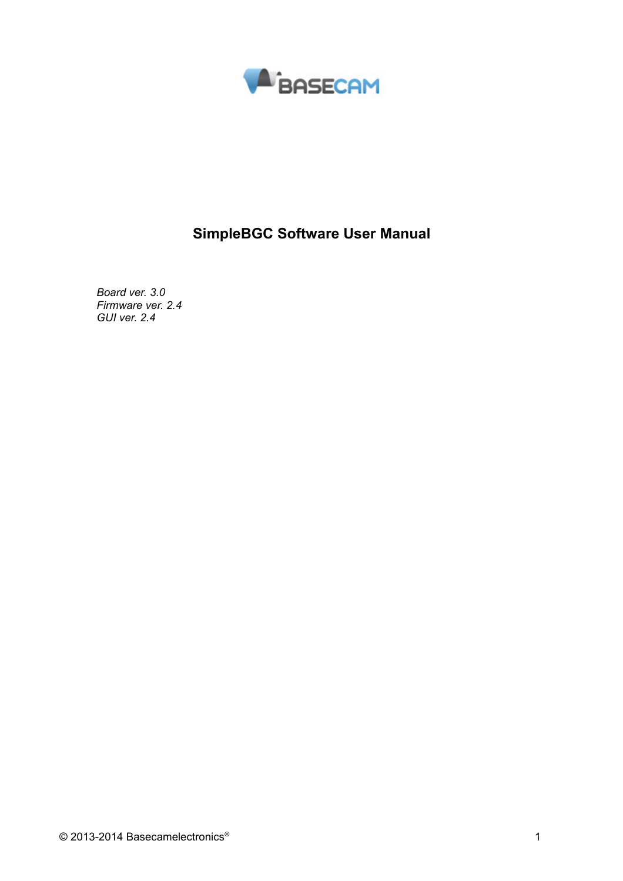

# **SimpleBGC Software User Manual**

*Board ver. 3.0 Firmware ver. 2.4 GUI ver. 2.4*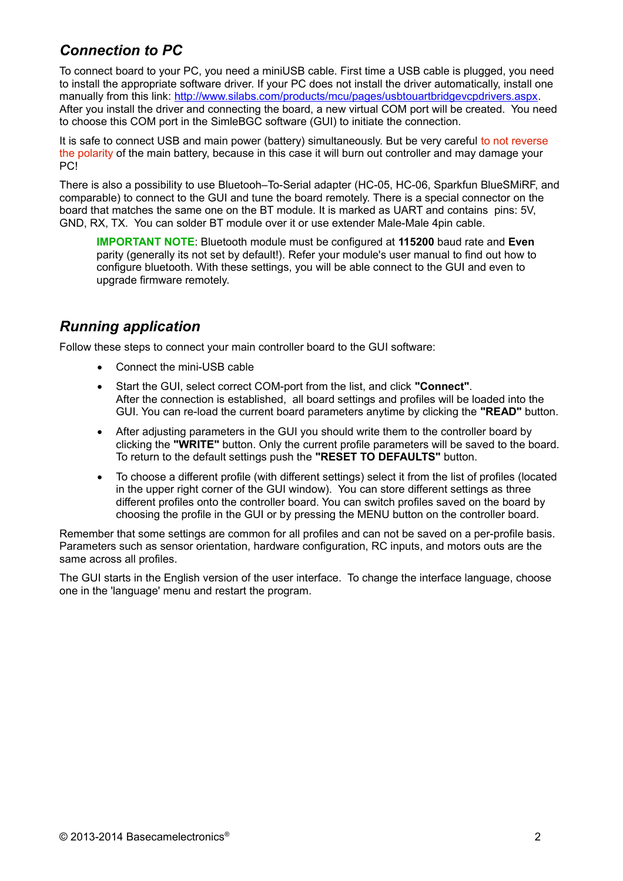# *Connection to PC*

To connect board to your PC, you need a miniUSB cable. First time a USB cable is plugged, you need to install the appropriate software driver. If your PC does not install the driver automatically, install one manually from this link: [http://www.silabs.com/products/mcu/pages/usbtouartbridgevcpdrivers.aspx.](http://www.silabs.com/products/mcu/pages/usbtouartbridgevcpdrivers.aspx) After you install the driver and connecting the board, a new virtual COM port will be created. You need to choose this COM port in the SimleBGC software (GUI) to initiate the connection.

It is safe to connect USB and main power (battery) simultaneously. But be very careful to not reverse the polarity of the main battery, because in this case it will burn out controller and may damage your PC!

There is also a possibility to use Bluetooh–To-Serial adapter (HC-05, HC-06, Sparkfun BlueSMiRF, and comparable) to connect to the GUI and tune the board remotely. There is a special connector on the board that matches the same one on the BT module. It is marked as UART and contains pins: 5V, GND, RX, TX. You can solder BT module over it or use extender Male-Male 4pin cable.

**IMPORTANT NOTE**: Bluetooth module must be configured at **115200** baud rate and **Even** parity (generally its not set by default!). Refer your module's user manual to find out how to configure bluetooth. With these settings, you will be able connect to the GUI and even to upgrade firmware remotely.

# *Running application*

Follow these steps to connect your main controller board to the GUI software:

- Connect the mini-USB cable
- Start the GUI, select correct COM-port from the list, and click **"Connect"**. After the connection is established, all board settings and profiles will be loaded into the GUI. You can re-load the current board parameters anytime by clicking the **"READ"** button.
- After adjusting parameters in the GUI you should write them to the controller board by clicking the **"WRITE"** button. Only the current profile parameters will be saved to the board. To return to the default settings push the **"RESET TO DEFAULTS"** button.
- To choose a different profile (with different settings) select it from the list of profiles (located in the upper right corner of the GUI window). You can store different settings as three different profiles onto the controller board. You can switch profiles saved on the board by choosing the profile in the GUI or by pressing the MENU button on the controller board.

Remember that some settings are common for all profiles and can not be saved on a per-profile basis. Parameters such as sensor orientation, hardware configuration, RC inputs, and motors outs are the same across all profiles.

The GUI starts in the English version of the user interface. To change the interface language, choose one in the 'language' menu and restart the program.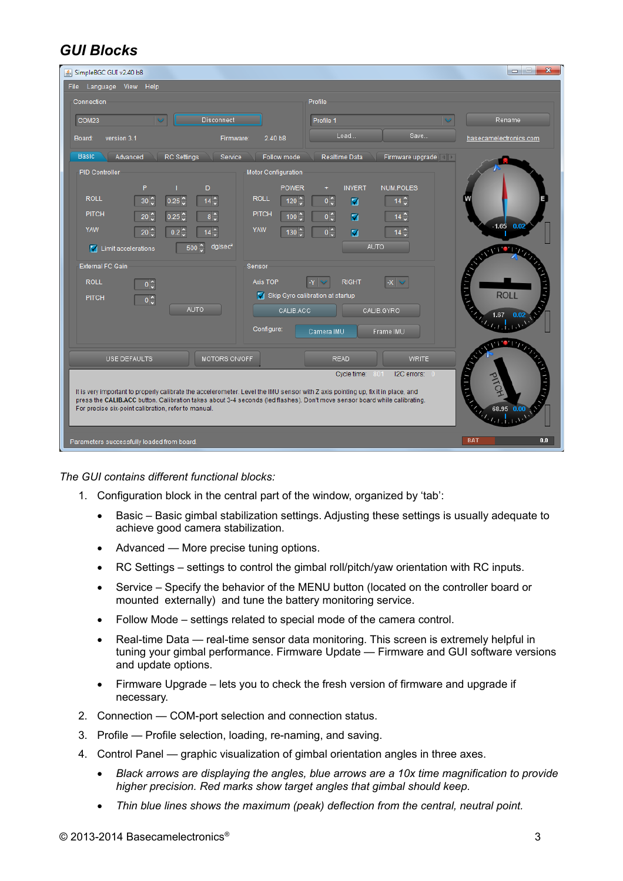# *GUI Blocks*

| SimpleBGC GUI v2.40 b8                                                                                                                                                                                                                                                                                                                                                                                                                                                                                                                                                                                                                                                                                                                                                                                                   | $\mathbf{x}$<br>$=$<br>$\qquad \qquad \Box$                          |  |  |
|--------------------------------------------------------------------------------------------------------------------------------------------------------------------------------------------------------------------------------------------------------------------------------------------------------------------------------------------------------------------------------------------------------------------------------------------------------------------------------------------------------------------------------------------------------------------------------------------------------------------------------------------------------------------------------------------------------------------------------------------------------------------------------------------------------------------------|----------------------------------------------------------------------|--|--|
| View Help<br>File<br>Language                                                                                                                                                                                                                                                                                                                                                                                                                                                                                                                                                                                                                                                                                                                                                                                            |                                                                      |  |  |
| Connection<br>Profile                                                                                                                                                                                                                                                                                                                                                                                                                                                                                                                                                                                                                                                                                                                                                                                                    |                                                                      |  |  |
| Disconnect<br>COM23<br>Profile 1                                                                                                                                                                                                                                                                                                                                                                                                                                                                                                                                                                                                                                                                                                                                                                                         | Rename                                                               |  |  |
| Load<br>Save<br>version 3.1<br>Firmware:<br>2.40 <sub>b8</sub><br>Board:                                                                                                                                                                                                                                                                                                                                                                                                                                                                                                                                                                                                                                                                                                                                                 | basecamelectronics.com                                               |  |  |
| <b>Basic</b><br>Advanced<br><b>RC</b> Settings<br>Service<br>Follow mode<br>Realtime Data<br>Firmware upgrade                                                                                                                                                                                                                                                                                                                                                                                                                                                                                                                                                                                                                                                                                                            |                                                                      |  |  |
| <b>PID Controller</b><br>Motor Configuration<br>P<br>D<br><b>NUM.POLES</b><br><b>POWER</b><br><b>INVERT</b><br><b>ROLL</b><br><b>ROLL</b><br>$14 \hat{ }$<br>$30^\circ$<br>$0\frac{1}{2}$<br>0.25<br>$14^\circ$<br>$120^\circ$<br>М<br><b>PITCH</b><br><b>PITCH</b><br>$0\frac{1}{2}$<br>$8^\circ$<br>$14^\circ$<br>$20^\circ$<br>100<br>0.25<br>⊽<br><b>YAW</b><br><b>YAW</b><br>$0\sqrt{2}$<br>$20^\circ$<br>130 <sup>2</sup><br>☑<br>$14 \frac{6}{9}$<br>$0.2^\circ$<br>14<br><b>AUTO</b><br>dg/sec <sup>2</sup><br>500 $\degree$<br>I Limit accelerations<br><b>External FC Gain</b><br>Sensor<br><b>ROLL</b><br>Axis TOP<br><b>RIGHT</b><br>$0\frac{1}{2}$<br>Skip Gyro calibration at startup<br><b>PITCH</b><br>$0\frac{1}{2}$<br><b>AUTO</b><br>CALIB.ACC<br>CALIB.GYRO<br>Configure:<br>Camera IMU<br>Frame IMU | $-1.65$ 0.02<br>1. I . V .<br><b>ROLL</b><br>1.67<br>$\bullet$ $\mu$ |  |  |
| USE DEFAULTS<br>MOTORS ON/OFF<br><b>READ</b><br><b>WRITE</b>                                                                                                                                                                                                                                                                                                                                                                                                                                                                                                                                                                                                                                                                                                                                                             |                                                                      |  |  |
| I2C errors: 0<br>$\cdot$ 1 $\cdot$ 1 $\cdot$<br>Cycle time:<br>801<br>It is very important to properly calibrate the accelerometer. Level the IMU sensor with Z axis pointing up, fix it in place, and<br>press the CALIB.ACC button. Calibration takes about 3-4 seconds (led flashes). Don't move sensor board while calibrating.<br><b>Called B</b><br>For precise six-point calibration, refer to manual.<br>68.95 0.00                                                                                                                                                                                                                                                                                                                                                                                              |                                                                      |  |  |
| Parameters successfully loaded from board.                                                                                                                                                                                                                                                                                                                                                                                                                                                                                                                                                                                                                                                                                                                                                                               | <b>BAT</b><br>0.0                                                    |  |  |

*The GUI contains different functional blocks:*

- 1. Configuration block in the central part of the window, organized by 'tab':
	- Basic Basic gimbal stabilization settings. Adjusting these settings is usually adequate to achieve good camera stabilization.
	- Advanced More precise tuning options.
	- RC Settings settings to control the gimbal roll/pitch/yaw orientation with RC inputs.
	- Service Specify the behavior of the MENU button (located on the controller board or mounted externally) and tune the battery monitoring service.
	- Follow Mode settings related to special mode of the camera control.
	- Real-time Data real-time sensor data monitoring. This screen is extremely helpful in tuning your gimbal performance. Firmware Update — Firmware and GUI software versions and update options.
	- Firmware Upgrade lets you to check the fresh version of firmware and upgrade if necessary.
- 2. Connection COM-port selection and connection status.
- 3. Profile Profile selection, loading, re-naming, and saving.
- 4. Control Panel graphic visualization of gimbal orientation angles in three axes.
	- *Black arrows are displaying the angles, blue arrows are a 10x time magnification to provide higher precision. Red marks show target angles that gimbal should keep.*
	- *Thin blue lines shows the maximum (peak) deflection from the central, neutral point.*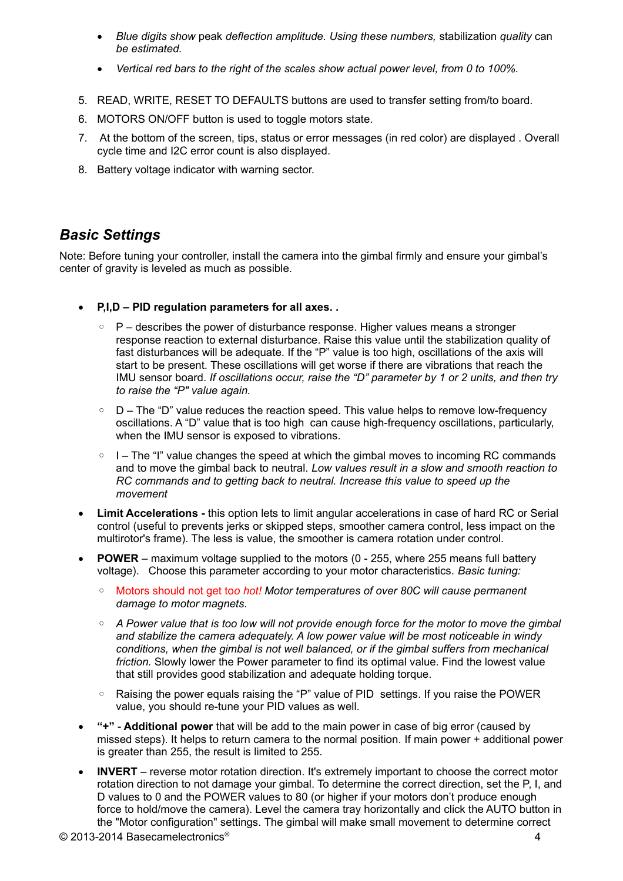- *Blue digits show* peak *deflection amplitude. Using these numbers,* stabilization *quality* can *be estimated.*
- *Vertical red bars to the right of the scales show actual power level, from 0 to 100%.*
- 5. READ, WRITE, RESET TO DEFAULTS buttons are used to transfer setting from/to board.
- 6. MOTORS ON/OFF button is used to toggle motors state.
- 7. At the bottom of the screen, tips, status or error messages (in red color) are displayed . Overall cycle time and I2C error count is also displayed.
- 8. Battery voltage indicator with warning sector.

#### *Basic Settings*

Note: Before tuning your controller, install the camera into the gimbal firmly and ensure your gimbal's center of gravity is leveled as much as possible.

- **P,I,D PID regulation parameters for all axes. .**
	- P describes the power of disturbance response. Higher values means a stronger response reaction to external disturbance. Raise this value until the stabilization quality of fast disturbances will be adequate. If the "P" value is too high, oscillations of the axis will start to be present. These oscillations will get worse if there are vibrations that reach the IMU sensor board. *If oscillations occur, raise the "D" parameter by 1 or 2 units, and then try to raise the "P" value again.*
	- D The "D" value reduces the reaction speed. This value helps to remove low-frequency oscillations. A "D" value that is too high can cause high-frequency oscillations, particularly, when the IMU sensor is exposed to vibrations.
	- I The "I" value changes the speed at which the gimbal moves to incoming RC commands and to move the gimbal back to neutral. *Low values result in a slow and smooth reaction to RC commands and to getting back to neutral. Increase this value to speed up the movement*
- **Limit Accelerations** this option lets to limit angular accelerations in case of hard RC or Serial control (useful to prevents jerks or skipped steps, smoother camera control, less impact on the multirotor's frame). The less is value, the smoother is camera rotation under control.
- **POWER** maximum voltage supplied to the motors (0 255, where 255 means full battery voltage). Choose this parameter according to your motor characteristics. *Basic tuning:*
	- Motors should not get to*o hot! Motor temperatures of over 80С will cause permanent damage to motor magnets.*
	- *A Power value that is too low will not provide enough force for the motor to move the gimbal and stabilize the camera adequately. A low power value will be most noticeable in windy conditions, when the gimbal is not well balanced, or if the gimbal suffers from mechanical friction.* Slowly lower the Power parameter to find its optimal value. Find the lowest value that still provides good stabilization and adequate holding torque.
	- Raising the power equals raising the "P" value of PID settings. If you raise the POWER value, you should re-tune your PID values as well.
- **"+" Additional power** that will be add to the main power in case of big error (caused by missed steps). It helps to return camera to the normal position. If main power + additional power is greater than 255, the result is limited to 255.
- **INVERT** reverse motor rotation direction. It's extremely important to choose the correct motor rotation direction to not damage your gimbal. To determine the correct direction, set the P, I, and D values to 0 and the POWER values to 80 (or higher if your motors don't produce enough force to hold/move the camera). Level the camera tray horizontally and click the AUTO button in the "Motor configuration" settings. The gimbal will make small movement to determine correct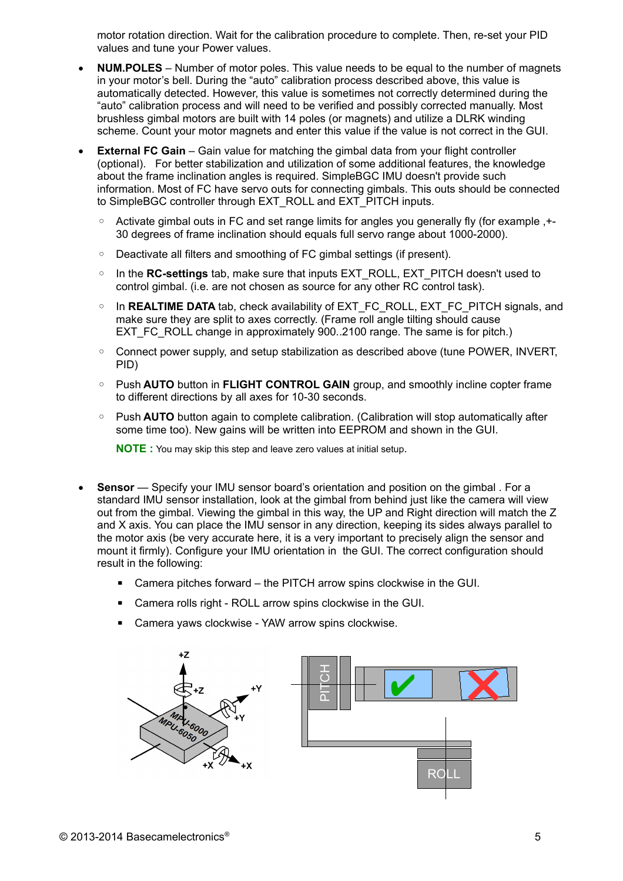motor rotation direction. Wait for the calibration procedure to complete. Then, re-set your PID values and tune your Power values.

- **NUM.POLES** Number of motor poles. This value needs to be equal to the number of magnets in your motor's bell. During the "auto" calibration process described above, this value is automatically detected. However, this value is sometimes not correctly determined during the "auto" calibration process and will need to be verified and possibly corrected manually. Most brushless gimbal motors are built with 14 poles (or magnets) and utilize a DLRK winding scheme. Count your motor magnets and enter this value if the value is not correct in the GUI.
- **External FC Gain** Gain value for matching the gimbal data from your flight controller (optional). For better stabilization and utilization of some additional features, the knowledge about the frame inclination angles is required. SimpleBGC IMU doesn't provide such information. Most of FC have servo outs for connecting gimbals. This outs should be connected to SimpleBGC controller through EXT\_ROLL and EXT\_PITCH inputs.
	- Activate gimbal outs in FC and set range limits for angles you generally fly (for example ,+- 30 degrees of frame inclination should equals full servo range about 1000-2000).
	- Deactivate all filters and smoothing of FC gimbal settings (if present).
	- In the **RC-settings** tab, make sure that inputs EXT\_ROLL, EXT\_PITCH doesn't used to control gimbal. (i.e. are not chosen as source for any other RC control task).
	- In **REALTIME DATA** tab, check availability of EXT\_FC\_ROLL, EXT\_FC\_PITCH signals, and make sure they are split to axes correctly. (Frame roll angle tilting should cause EXT FC ROLL change in approximately 900..2100 range. The same is for pitch.)
	- Connect power supply, and setup stabilization as described above (tune POWER, INVERT, PID)
	- Push **AUTO** button in **FLIGHT CONTROL GAIN** group, and smoothly incline copter frame to different directions by all axes for 10-30 seconds.
	- Push **AUTO** button again to complete calibration. (Calibration will stop automatically after some time too). New gains will be written into EEPROM and shown in the GUI.

**NOTE :** You may skip this step and leave zero values at initial setup.

- **Sensor** Specify your IMU sensor board's orientation and position on the gimbal . For a standard IMU sensor installation, look at the gimbal from behind just like the camera will view out from the gimbal. Viewing the gimbal in this way, the UP and Right direction will match the Z and X axis. You can place the IMU sensor in any direction, keeping its sides always parallel to the motor axis (be very accurate here, it is a very important to precisely align the sensor and mount it firmly). Configure your IMU orientation in the GUI. The correct configuration should result in the following:
	- Camera pitches forward the PITCH arrow spins clockwise in the GUI.
	- Camera rolls right ROLL arrow spins clockwise in the GUI.
	- Camera yaws clockwise YAW arrow spins clockwise.

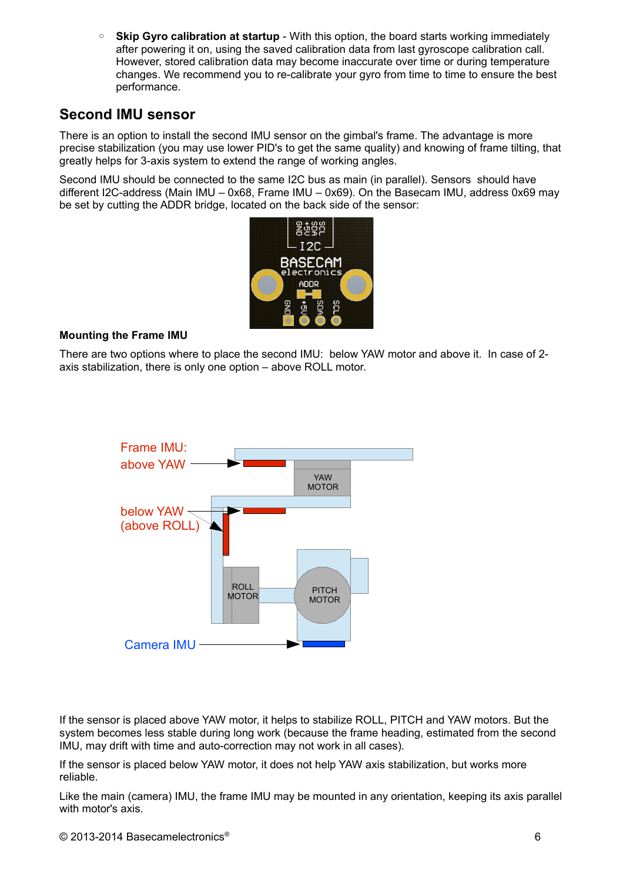◦ **Skip Gyro calibration at startup** - With this option, the board starts working immediately after powering it on, using the saved calibration data from last gyroscope calibration call. However, stored calibration data may become inaccurate over time or during temperature changes. We recommend you to re-calibrate your gyro from time to time to ensure the best performance.

# <span id="page-5-0"></span>**Second IMU sensor**

There is an option to install the second IMU sensor on the gimbal's frame. The advantage is more precise stabilization (you may use lower PID's to get the same quality) and knowing of frame tilting, that greatly helps for 3-axis system to extend the range of working angles.

Second IMU should be connected to the same I2C bus as main (in parallel). Sensors should have different I2C-address (Main IMU – 0x68, Frame IMU – 0x69). On the Basecam IMU, address 0x69 may be set by cutting the ADDR bridge, located on the back side of the sensor:



#### **Mounting the Frame IMU**

There are two options where to place the second IMU: below YAW motor and above it. In case of 2 axis stabilization, there is only one option – above ROLL motor.



If the sensor is placed above YAW motor, it helps to stabilize ROLL, PITCH and YAW motors. But the system becomes less stable during long work (because the frame heading, estimated from the second IMU, may drift with time and auto-correction may not work in all cases).

If the sensor is placed below YAW motor, it does not help YAW axis stabilization, but works more reliable.

Like the main (camera) IMU, the frame IMU may be mounted in any orientation, keeping its axis parallel with motor's axis.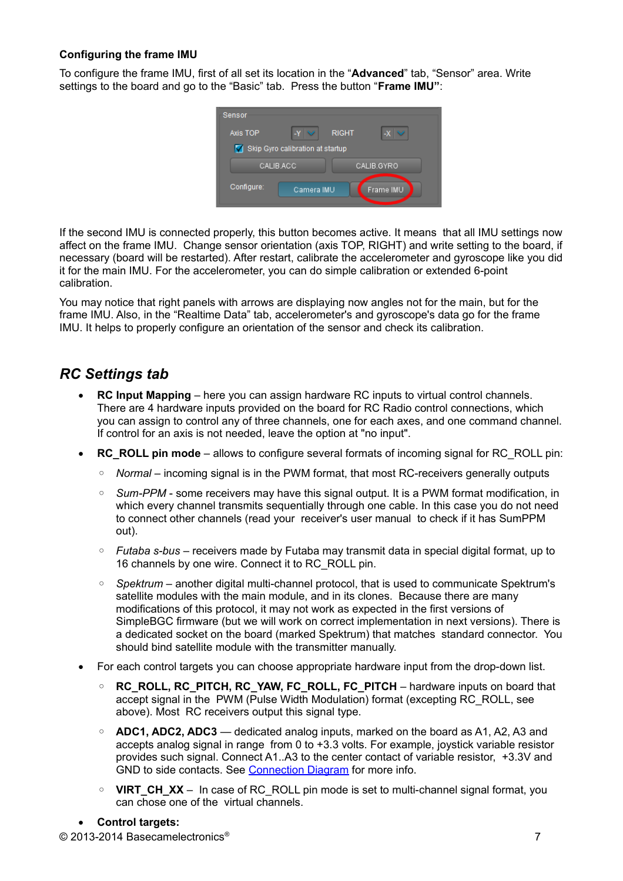#### **Configuring the frame IMU**

To configure the frame IMU, first of all set its location in the "**Advanced**" tab, "Sensor" area. Write settings to the board and go to the "Basic" tab. Press the button "**Frame IMU"**:



If the second IMU is connected properly, this button becomes active. It means that all IMU settings now affect on the frame IMU. Change sensor orientation (axis TOP, RIGHT) and write setting to the board, if necessary (board will be restarted). After restart, calibrate the accelerometer and gyroscope like you did it for the main IMU. For the accelerometer, you can do simple calibration or extended 6-point calibration.

You may notice that right panels with arrows are displaying now angles not for the main, but for the frame IMU. Also, in the "Realtime Data" tab, accelerometer's and gyroscope's data go for the frame IMU. It helps to properly configure an orientation of the sensor and check its calibration.

# *RC Settings tab*

- **RC Input Mapping**  here you can assign hardware RC inputs to virtual control channels. There are 4 hardware inputs provided on the board for RC Radio control connections, which you can assign to control any of three channels, one for each axes, and one command channel. If control for an axis is not needed, leave the option at "no input".
- **RC\_ROLL pin mode** allows to configure several formats of incoming signal for RC\_ROLL pin:
	- *Normal* incoming signal is in the PWM format, that most RC-receivers generally outputs
	- *Sum-PPM* some receivers may have this signal output. It is a PWM format modification, in which every channel transmits sequentially through one cable. In this case you do not need to connect other channels (read your receiver's user manual to check if it has SumPPM out).
	- *Futaba s-bus* receivers made by Futaba may transmit data in special digital format, up to 16 channels by one wire. Connect it to RC\_ROLL pin.
	- *Spektrum* another digital multi-channel protocol, that is used to communicate Spektrum's satellite modules with the main module, and in its clones. Because there are many modifications of this protocol, it may not work as expected in the first versions of SimpleBGC firmware (but we will work on correct implementation in next versions). There is a dedicated socket on the board (marked Spektrum) that matches standard connector. You should bind satellite module with the transmitter manually.
- For each control targets you can choose appropriate hardware input from the drop-down list.
	- **RC\_ROLL, RC\_PITCH, RC\_YAW, FC\_ROLL, FC\_PITCH** hardware inputs on board that accept signal in the PWM (Pulse Width Modulation) format (excepting RC\_ROLL, see above). Most RC receivers output this signal type.
	- **ADC1, ADC2, ADC3** dedicated analog inputs, marked on the board as A1, A2, A3 and accepts analog signal in range from 0 to +3.3 volts. For example, joystick variable resistor provides such signal. Connect A1..A3 to the center contact of variable resistor, +3.3V and GND to side contacts. See [Connection Diagram](#page-15-0) for more info.
	- **VIRT CH XX** In case of RC ROLL pin mode is set to multi-channel signal format, you can chose one of the virtual channels.

#### **Control targets:**

© 2013-2014 Basecamelectronics® 7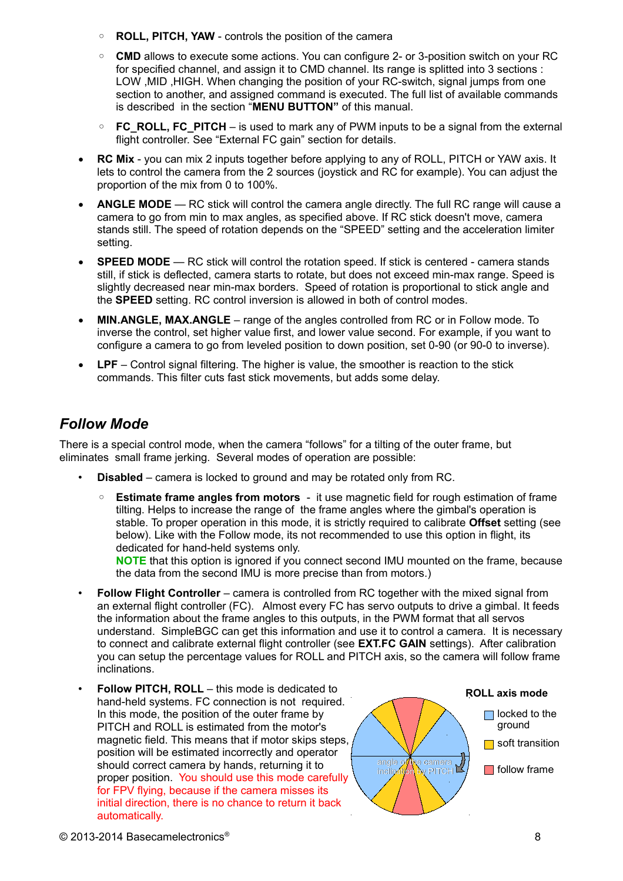- **ROLL, PITCH, YAW** controls the position of the camera
- **CMD** allows to execute some actions. You can configure 2- or 3-position switch on your RC for specified channel, and assign it to CMD channel. Its range is splitted into 3 sections : LOW ,MID ,HIGH. When changing the position of your RC-switch, signal jumps from one section to another, and assigned command is executed. The full list of available commands is described in the section "**MENU BUTTON"** of this manual.
- **FC\_ROLL, FC\_PITCH** is used to mark any of PWM inputs to be a signal from the external flight controller. See "External FC gain" section for details.
- **RC Mix** you can mix 2 inputs together before applying to any of ROLL, PITCH or YAW axis. It lets to control the camera from the 2 sources (joystick and RC for example). You can adjust the proportion of the mix from 0 to 100%.
- ANGLE MODE RC stick will control the camera angle directly. The full RC range will cause a camera to go from min to max angles, as specified above. If RC stick doesn't move, camera stands still. The speed of rotation depends on the "SPEED" setting and the acceleration limiter setting.
- **SPEED MODE** RC stick will control the rotation speed. If stick is centered camera stands still, if stick is deflected, camera starts to rotate, but does not exceed min-max range. Speed is slightly decreased near min-max borders. Speed of rotation is proportional to stick angle and the **SPEED** setting. RC control inversion is allowed in both of control modes.
- **MIN.ANGLE, MAX.ANGLE** range of the angles controlled from RC or in Follow mode. To inverse the control, set higher value first, and lower value second. For example, if you want to configure a camera to go from leveled position to down position, set 0-90 (or 90-0 to inverse).
- **LPF** Control signal filtering. The higher is value, the smoother is reaction to the stick commands. This filter cuts fast stick movements, but adds some delay.

# *Follow Mode*

There is a special control mode, when the camera "follows" for a tilting of the outer frame, but eliminates small frame jerking. Several modes of operation are possible:

- **Disabled** camera is locked to ground and may be rotated only from RC.
	- **Estimate frame angles from motors** it use magnetic field for rough estimation of frame tilting. Helps to increase the range of the frame angles where the gimbal's operation is stable. To proper operation in this mode, it is strictly required to calibrate **Offset** setting (see below). Like with the Follow mode, its not recommended to use this option in flight, its dedicated for hand-held systems only.

**NOTE** that this option is ignored if you connect second IMU mounted on the frame, because the data from the second IMU is more precise than from motors.)

- **Follow Flight Controller** camera is controlled from RC together with the mixed signal from an external flight controller (FC). Almost every FC has servo outputs to drive a gimbal. It feeds the information about the frame angles to this outputs, in the PWM format that all servos understand. SimpleBGC can get this information and use it to control a camera. It is necessary to connect and calibrate external flight controller (see **EXT.FC GAIN** settings). After calibration you can setup the percentage values for ROLL and PITCH axis, so the camera will follow frame inclinations.
- **Follow PITCH, ROLL** this mode is dedicated to hand-held systems. FC connection is not required. In this mode, the position of the outer frame by PITCH and ROLL is estimated from the motor's magnetic field. This means that if motor skips steps, position will be estimated incorrectly and operator should correct camera by hands, returning it to proper position. You should use this mode carefully for FPV flying, because if the camera misses its initial direction, there is no chance to return it back automatically.

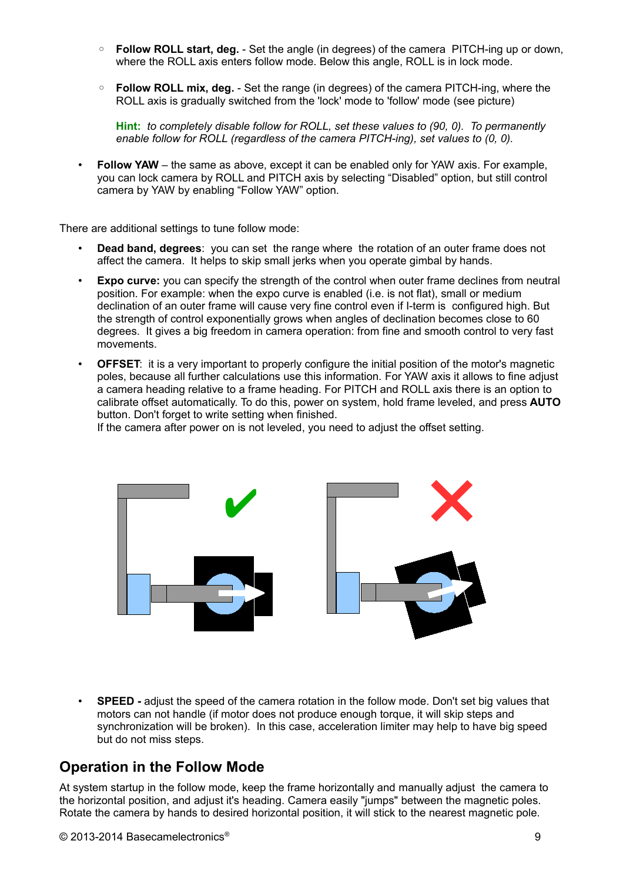- **Follow ROLL start, deg.** Set the angle (in degrees) of the camera PITCH-ing up or down, where the ROLL axis enters follow mode. Below this angle, ROLL is in lock mode.
- **Follow ROLL mix, deg.** Set the range (in degrees) of the camera PITCH-ing, where the ROLL axis is gradually switched from the 'lock' mode to 'follow' mode (see picture)

**Hint:** *to completely disable follow for ROLL, set these values to (90, 0). To permanently enable follow for ROLL (regardless of the camera PITCH-ing), set values to (0, 0).*

• **Follow YAW** – the same as above, except it can be enabled only for YAW axis. For example, you can lock camera by ROLL and PITCH axis by selecting "Disabled" option, but still control camera by YAW by enabling "Follow YAW" option.

There are additional settings to tune follow mode:

- **Dead band, degrees**: you can set the range where the rotation of an outer frame does not affect the camera. It helps to skip small jerks when you operate gimbal by hands.
- **Expo curve:** you can specify the strength of the control when outer frame declines from neutral position. For example: when the expo curve is enabled (i.e. is not flat), small or medium declination of an outer frame will cause very fine control even if I-term is configured high. But the strength of control exponentially grows when angles of declination becomes close to 60 degrees. It gives a big freedom in camera operation: from fine and smooth control to very fast movements.
- **OFFSET:** it is a very important to properly configure the initial position of the motor's magnetic poles, because all further calculations use this information. For YAW axis it allows to fine adjust a camera heading relative to a frame heading. For PITCH and ROLL axis there is an option to calibrate offset automatically. To do this, power on system, hold frame leveled, and press **AUTO** button. Don't forget to write setting when finished.

If the camera after power on is not leveled, you need to adjust the offset setting.



• **SPEED -** adjust the speed of the camera rotation in the follow mode. Don't set big values that motors can not handle (if motor does not produce enough torque, it will skip steps and synchronization will be broken). In this case, acceleration limiter may help to have big speed but do not miss steps.

# **Operation in the Follow Mode**

At system startup in the follow mode, keep the frame horizontally and manually adjust the camera to the horizontal position, and adjust it's heading. Camera easily "jumps" between the magnetic poles. Rotate the camera by hands to desired horizontal position, it will stick to the nearest magnetic pole.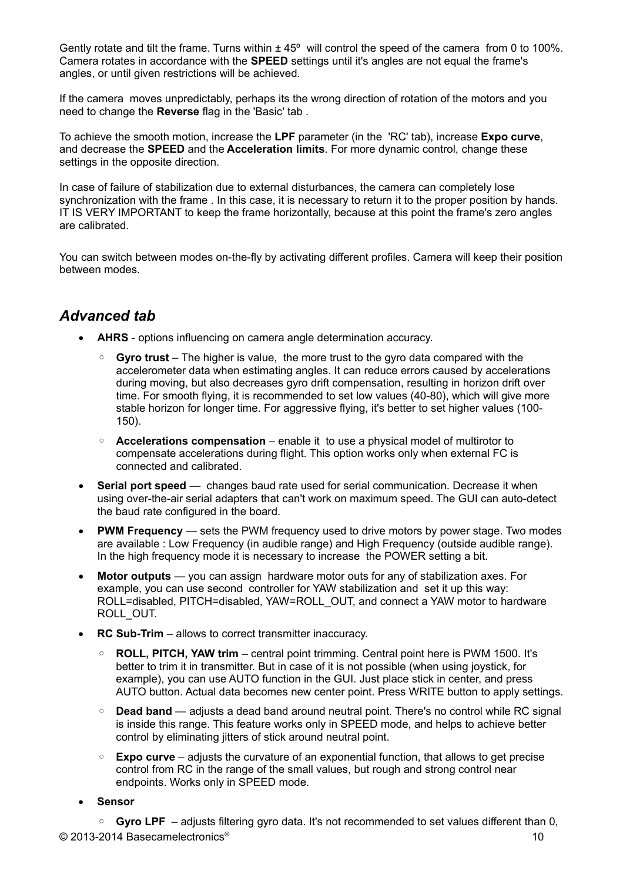Gently rotate and tilt the frame. Turns within  $\pm 45^{\circ}$  will control the speed of the camera from 0 to 100%. Camera rotates in accordance with the **SPEED** settings until it's angles are not equal the frame's angles, or until given restrictions will be achieved.

If the camera moves unpredictably, perhaps its the wrong direction of rotation of the motors and you need to change the **Reverse** flag in the 'Basic' tab .

To achieve the smooth motion, increase the **LPF** parameter (in the 'RC' tab), increase **Expo curve**, and decrease the **SPEED** and the **Acceleration limits**. For more dynamic control, change these settings in the opposite direction.

In case of failure of stabilization due to external disturbances, the camera can completely lose synchronization with the frame . In this case, it is necessary to return it to the proper position by hands. IT IS VERY IMPORTANT to keep the frame horizontally, because at this point the frame's zero angles are calibrated.

You can switch between modes on-the-fly by activating different profiles. Camera will keep their position between modes.

### *Advanced tab*

- **AHRS** options influencing on camera angle determination accuracy.
	- **Gyro trust** The higher is value, the more trust to the gyro data compared with the accelerometer data when estimating angles. It can reduce errors caused by accelerations during moving, but also decreases gyro drift compensation, resulting in horizon drift over time. For smooth flying, it is recommended to set low values (40-80), which will give more stable horizon for longer time. For aggressive flying, it's better to set higher values (100- 150).
	- **Accelerations compensation** enable it to use a physical model of multirotor to compensate accelerations during flight. This option works only when external FC is connected and calibrated.
- **Serial port speed** changes baud rate used for serial communication. Decrease it when using over-the-air serial adapters that can't work on maximum speed. The GUI can auto-detect the baud rate configured in the board.
- **PWM Frequency** sets the PWM frequency used to drive motors by power stage. Two modes are available : Low Frequency (in audible range) and High Frequency (outside audible range). In the high frequency mode it is necessary to increase the POWER setting a bit.
- **Motor outputs** you can assign hardware motor outs for any of stabilization axes. For example, you can use second controller for YAW stabilization and set it up this way: ROLL=disabled, PITCH=disabled, YAW=ROLL\_OUT, and connect a YAW motor to hardware ROLL\_OUT.
- **RC Sub-Trim** allows to correct transmitter inaccuracy.
	- **ROLL, PITCH, YAW trim** central point trimming. Central point here is PWM 1500. It's better to trim it in transmitter. But in case of it is not possible (when using joystick, for example), you can use AUTO function in the GUI. Just place stick in center, and press AUTO button. Actual data becomes new center point. Press WRITE button to apply settings.
	- **Dead band** adjusts a dead band around neutral point. There's no control while RC signal is inside this range. This feature works only in SPEED mode, and helps to achieve better control by eliminating jitters of stick around neutral point.
	- **Expo curve** adjusts the curvature of an exponential function, that allows to get precise control from RC in the range of the small values, but rough and strong control near endpoints. Works only in SPEED mode.
- **Sensor**

◦ **Gyro LPF** – adjusts filtering gyro data. It's not recommended to set values different than 0, © 2013-2014 Basecamelectronics® 10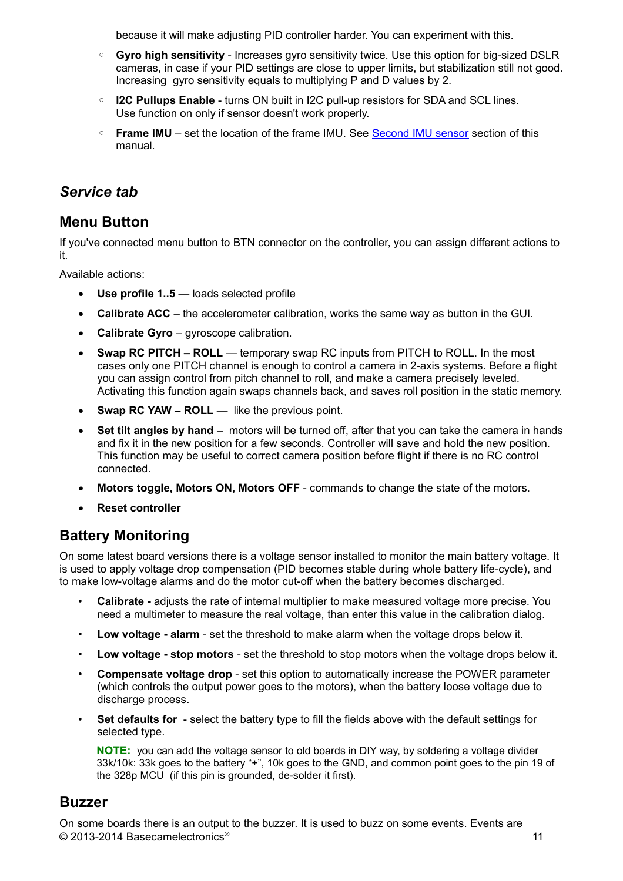because it will make adjusting PID controller harder. You can experiment with this.

- **Gyro high sensitivity** Increases gyro sensitivity twice. Use this option for big-sized DSLR cameras, in case if your PID settings are close to upper limits, but stabilization still not good. Increasing gyro sensitivity equals to multiplying P and D values by 2.
- **I2C Pullups Enable** turns ON built in I2C pull-up resistors for SDA and SCL lines. Use function on only if sensor doesn't work properly.
- **Frame IMU** set the location of the frame IMU. See [Second IMU sensor](#page-5-0) section of this manual.

# *Service tab*

### **Menu Button**

If you've connected menu button to BTN connector on the controller, you can assign different actions to it.

Available actions:

- **Use profile 1..5** loads selected profile
- **Calibrate ACC** the accelerometer calibration, works the same way as button in the GUI.
- **Calibrate Gyro** gyroscope calibration.
- **Swap RC PITCH ROLL** temporary swap RC inputs from PITCH to ROLL. In the most cases only one PITCH channel is enough to control a camera in 2-axis systems. Before a flight you can assign control from pitch channel to roll, and make a camera precisely leveled. Activating this function again swaps channels back, and saves roll position in the static memory.
- Swap RC YAW ROLL like the previous point.
- **Set tilt angles by hand** motors will be turned off, after that you can take the camera in hands and fix it in the new position for a few seconds. Controller will save and hold the new position. This function may be useful to correct camera position before flight if there is no RC control connected.
- **Motors toggle, Motors ON, Motors OFF** commands to change the state of the motors.
- **Reset controller**

# **Battery Monitoring**

On some latest board versions there is a voltage sensor installed to monitor the main battery voltage. It is used to apply voltage drop compensation (PID becomes stable during whole battery life-cycle), and to make low-voltage alarms and do the motor cut-off when the battery becomes discharged.

- **Calibrate -** adjusts the rate of internal multiplier to make measured voltage more precise. You need a multimeter to measure the real voltage, than enter this value in the calibration dialog.
- **Low voltage alarm** set the threshold to make alarm when the voltage drops below it.
- **Low voltage stop motors**  set the threshold to stop motors when the voltage drops below it.
- **Compensate voltage drop** set this option to automatically increase the POWER parameter (which controls the output power goes to the motors), when the battery loose voltage due to discharge process.
- **Set defaults for** select the battery type to fill the fields above with the default settings for selected type.

**NOTE:** you can add the voltage sensor to old boards in DIY way, by soldering a voltage divider 33k/10k: 33k goes to the battery "+", 10k goes to the GND, and common point goes to the pin 19 of the 328p MCU (if this pin is grounded, de-solder it first).

#### **Buzzer**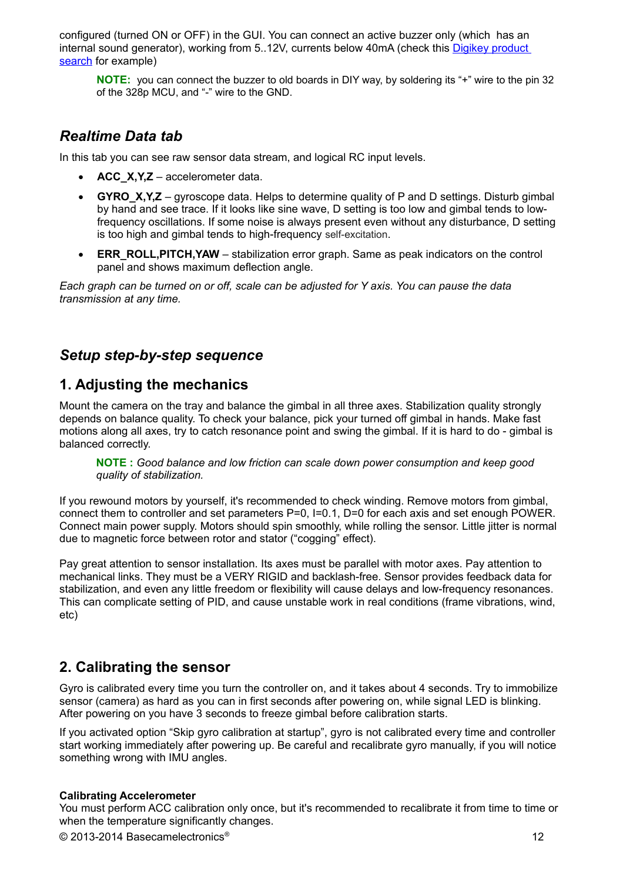configured (turned ON or OFF) in the GUI. You can connect an active buzzer only (which has an internal sound generator), working from 5..12V, currents below 40mA (check this [Digikey product](http://www.digikey.com/product-search/en?pv14=930&pv14=124&pv14=123&FV=fff4000b,fff80047,38003f,38007b,38007c,38007e,3803a2,7040013,7040015,704001b,7040024,704002a,7040037,704003b,704003e,7040045,704005a,704005d,7040068,704006a,704007e,7040080,7040088,704008a,704008b,70400f3,70404b5,7680028,15d80006&mnonly=0&newproducts=0&ColumnSort=0&page=1&quantity=0&ptm=0&fid=0&pageSize=25)  [search](http://www.digikey.com/product-search/en?pv14=930&pv14=124&pv14=123&FV=fff4000b,fff80047,38003f,38007b,38007c,38007e,3803a2,7040013,7040015,704001b,7040024,704002a,7040037,704003b,704003e,7040045,704005a,704005d,7040068,704006a,704007e,7040080,7040088,704008a,704008b,70400f3,70404b5,7680028,15d80006&mnonly=0&newproducts=0&ColumnSort=0&page=1&quantity=0&ptm=0&fid=0&pageSize=25) for example)

**NOTE:** you can connect the buzzer to old boards in DIY way, by soldering its "+" wire to the pin 32 of the 328p MCU, and "-" wire to the GND.

# *Realtime Data tab*

In this tab you can see raw sensor data stream, and logical RC input levels.

- **ACC\_X,Y,Z** accelerometer data.
- **GYRO\_X,Y,Z** gyroscope data. Helps to determine quality of P and D settings. Disturb gimbal by hand and see trace. If it looks like sine wave, D setting is too low and gimbal tends to lowfrequency oscillations. If some noise is always present even without any disturbance, D setting is too high and gimbal tends to high-frequency self-excitation.
- **ERR\_ROLL,PITCH,YAW** stabilization error graph. Same as peak indicators on the control panel and shows maximum deflection angle.

*Each graph can be turned on or off, scale can be adjusted for Y axis. You can pause the data transmission at any time.*

# *Setup step-by-step sequence*

# **1. Adjusting the mechanics**

Mount the camera on the tray and balance the gimbal in all three axes. Stabilization quality strongly depends on balance quality. To check your balance, pick your turned off gimbal in hands. Make fast motions along all axes, try to catch resonance point and swing the gimbal. If it is hard to do - gimbal is balanced correctly.

**NOTE :** *Good balance and low friction can scale down power consumption and keep good quality of stabilization.*

If you rewound motors by yourself, it's recommended to check winding. Remove motors from gimbal, connect them to controller and set parameters P=0, I=0.1, D=0 for each axis and set enough POWER. Connect main power supply. Motors should spin smoothly, while rolling the sensor. Little jitter is normal due to magnetic force between rotor and stator ("cogging" effect).

Pay great attention to sensor installation. Its axes must be parallel with motor axes. Pay attention to mechanical links. They must be a VERY RIGID and backlash-free. Sensor provides feedback data for stabilization, and even any little freedom or flexibility will cause delays and low-frequency resonances. This can complicate setting of PID, and cause unstable work in real conditions (frame vibrations, wind, etc)

# **2. Calibrating the sensor**

Gyro is calibrated every time you turn the controller on, and it takes about 4 seconds. Try to immobilize sensor (camera) as hard as you can in first seconds after powering on, while signal LED is blinking. After powering on you have 3 seconds to freeze gimbal before calibration starts.

If you activated option "Skip gyro calibration at startup", gyro is not calibrated every time and controller start working immediately after powering up. Be careful and recalibrate gyro manually, if you will notice something wrong with IMU angles.

#### **Calibrating Accelerometer**

You must perform ACC calibration only once, but it's recommended to recalibrate it from time to time or when the temperature significantly changes.

© 2013-2014 Basecamelectronics® 12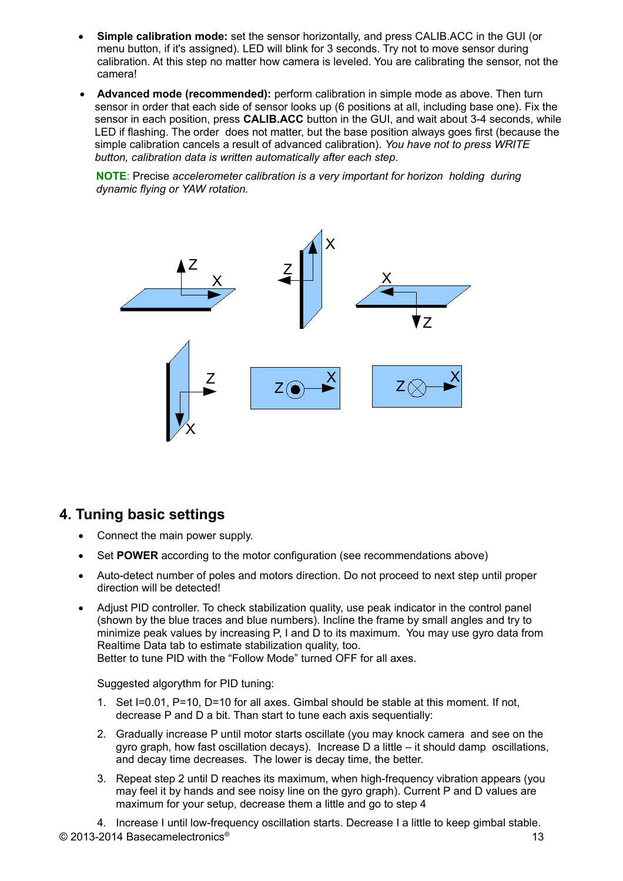- **Simple calibration mode:** set the sensor horizontally, and press CALIB.ACC in the GUI (or menu button, if it's assigned). LED will blink for 3 seconds. Try not to move sensor during calibration. At this step no matter how camera is leveled. You are calibrating the sensor, not the camera!
- **Advanced mode (recommended):** perform calibration in simple mode as above. Then turn sensor in order that each side of sensor looks up (6 positions at all, including base one). Fix the sensor in each position, press **CALIB.ACC** button in the GUI, and wait about 3-4 seconds, while LED if flashing. The order does not matter, but the base position always goes first (because the simple calibration cancels a result of advanced calibration). *You have not to press WRITE button, calibration data is written automatically after each step.*

**NOTE**: Precise *accelerometer calibration is a very important for horizon holding during dynamic flying or YAW rotation.*



#### **4. Tuning basic settings**

- Connect the main power supply.
- Set **POWER** according to the motor configuration (see recommendations above)
- Auto-detect number of poles and motors direction. Do not proceed to next step until proper direction will be detected!
- Adjust PID controller. To check stabilization quality, use peak indicator in the control panel (shown by the blue traces and blue numbers). Incline the frame by small angles and try to minimize peak values by increasing P, I and D to its maximum. You may use gyro data from Realtime Data tab to estimate stabilization quality, too.

Better to tune PID with the "Follow Mode" turned OFF for all axes.

Suggested algorythm for PID tuning:

- 1. Set I=0.01, P=10, D=10 for all axes. Gimbal should be stable at this moment. If not, decrease P and D a bit. Than start to tune each axis sequentially:
- 2. Gradually increase P until motor starts oscillate (you may knock camera and see on the gyro graph, how fast oscillation decays). Increase D a little – it should damp oscillations, and decay time decreases. The lower is decay time, the better.
- 3. Repeat step 2 until D reaches its maximum, when high-frequency vibration appears (you may feel it by hands and see noisy line on the gyro graph). Current P and D values are maximum for your setup, decrease them a little and go to step 4

4. Increase I until low-frequency oscillation starts. Decrease I a little to keep gimbal stable.  $\degree$  2013-2014 Basecamelectronics $\degree$  13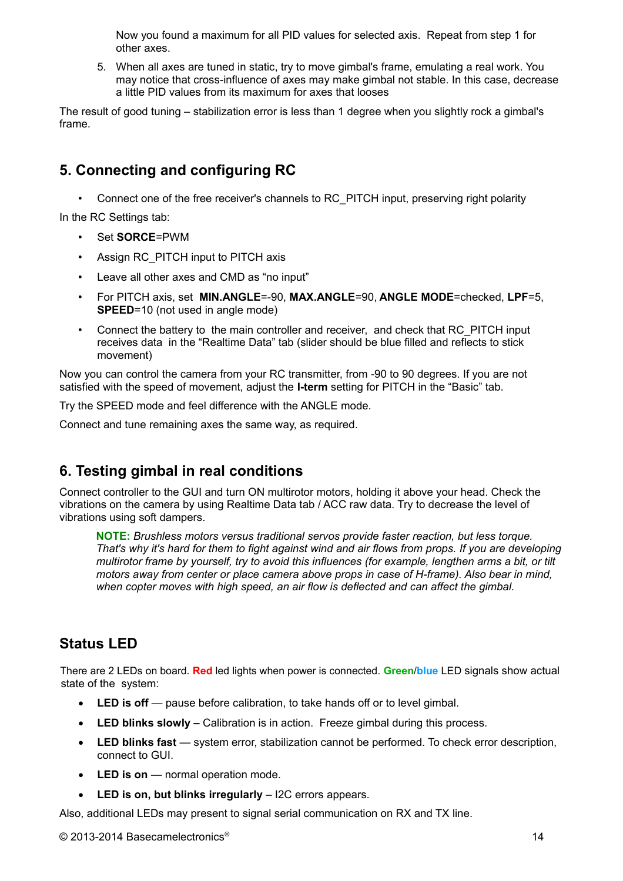Now you found a maximum for all PID values for selected axis. Repeat from step 1 for other axes.

5. When all axes are tuned in static, try to move gimbal's frame, emulating a real work. You may notice that cross-influence of axes may make gimbal not stable. In this case, decrease a little PID values from its maximum for axes that looses

The result of good tuning – stabilization error is less than 1 degree when you slightly rock a gimbal's frame.

# **5. Connecting and configuring RC**

• Connect one of the free receiver's channels to RC\_PITCH input, preserving right polarity

In the RC Settings tab:

- Set **SORCE**=PWM
- Assign RC\_PITCH input to PITCH axis
- Leave all other axes and CMD as "no input"
- For PITCH axis, set **MIN.ANGLE**=-90, **MAX.ANGLE**=90, **ANGLE MODE**=checked, **LPF**=5, **SPEED**=10 (not used in angle mode)
- Connect the battery to the main controller and receiver, and check that RC\_PITCH input receives data in the "Realtime Data" tab (slider should be blue filled and reflects to stick movement)

Now you can control the camera from your RC transmitter, from -90 to 90 degrees. If you are not satisfied with the speed of movement, adjust the **I-term** setting for PITCH in the "Basic" tab.

Try the SPEED mode and feel difference with the ANGLE mode.

Connect and tune remaining axes the same way, as required.

# **6. Testing gimbal in real conditions**

Connect controller to the GUI and turn ON multirotor motors, holding it above your head. Check the vibrations on the camera by using Realtime Data tab / ACC raw data. Try to decrease the level of vibrations using soft dampers.

**NOTE:** *Brushless motors versus traditional servos provide faster reaction, but less torque. That's why it's hard for them to fight against wind and air flows from props. If you are developing multirotor frame by yourself, try to avoid this influences (for example, lengthen arms a bit, or tilt motors away from center or place camera above props in case of H-frame). Also bear in mind, when copter moves with high speed, an air flow is deflected and can affect the gimbal.*

# **Status LED**

There are 2 LEDs on board. **Red** led lights when power is connected. **Green**/**blue** LED signals show actual state of the system:

- LED is off pause before calibration, to take hands off or to level gimbal.
- **LED blinks slowly –** Calibration is in action. Freeze gimbal during this process.
- **LED blinks fast**  system error, stabilization cannot be performed. To check error description, connect to GUI.
- LED is on normal operation mode.
- **LED is on, but blinks irregularly** I2C errors appears.

Also, additional LEDs may present to signal serial communication on RX and TX line.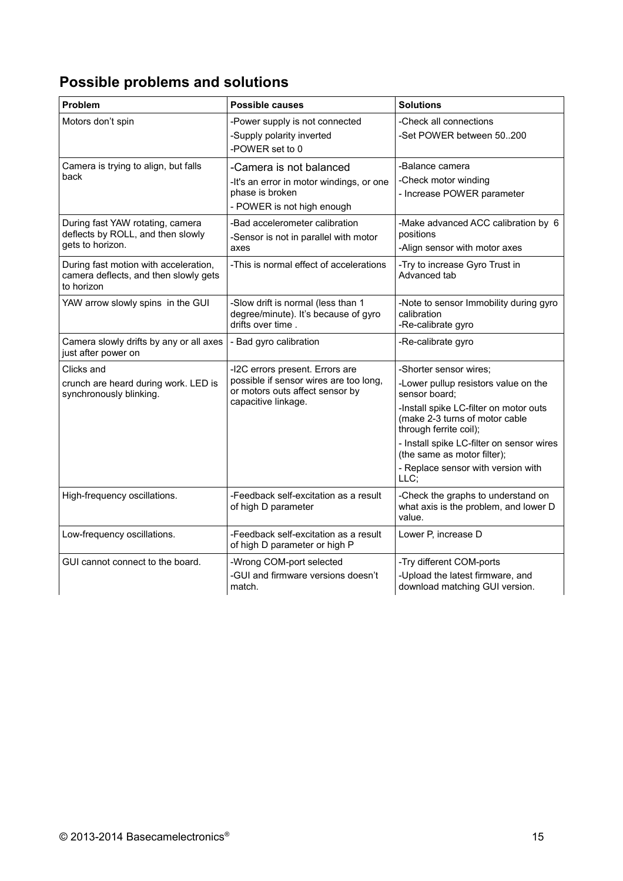# **Possible problems and solutions**

| Problem                                                                                      | <b>Possible causes</b>                                                                                                              | <b>Solutions</b>                                                                                                                                                                                                                                                                                                |
|----------------------------------------------------------------------------------------------|-------------------------------------------------------------------------------------------------------------------------------------|-----------------------------------------------------------------------------------------------------------------------------------------------------------------------------------------------------------------------------------------------------------------------------------------------------------------|
| Motors don't spin                                                                            | -Power supply is not connected<br>-Supply polarity inverted<br>-POWER set to 0                                                      | -Check all connections<br>-Set POWER between 50200                                                                                                                                                                                                                                                              |
| Camera is trying to align, but falls<br>back                                                 | -Camera is not balanced<br>-It's an error in motor windings, or one<br>phase is broken<br>- POWER is not high enough                | -Balance camera<br>-Check motor winding<br>- Increase POWER parameter                                                                                                                                                                                                                                           |
| During fast YAW rotating, camera<br>deflects by ROLL, and then slowly<br>gets to horizon.    | -Bad accelerometer calibration<br>-Sensor is not in parallel with motor<br>axes                                                     | -Make advanced ACC calibration by 6<br>positions<br>-Align sensor with motor axes                                                                                                                                                                                                                               |
| During fast motion with acceleration,<br>camera deflects, and then slowly gets<br>to horizon | -This is normal effect of accelerations                                                                                             | -Try to increase Gyro Trust in<br>Advanced tab                                                                                                                                                                                                                                                                  |
| YAW arrow slowly spins in the GUI                                                            | -Slow drift is normal (less than 1<br>degree/minute). It's because of gyro<br>drifts over time.                                     | -Note to sensor Immobility during gyro<br>calibration<br>-Re-calibrate gyro                                                                                                                                                                                                                                     |
| Camera slowly drifts by any or all axes<br>just after power on                               | - Bad gyro calibration                                                                                                              | -Re-calibrate gyro                                                                                                                                                                                                                                                                                              |
| Clicks and<br>crunch are heard during work. LED is<br>synchronously blinking.                | -I2C errors present. Errors are<br>possible if sensor wires are too long,<br>or motors outs affect sensor by<br>capacitive linkage. | -Shorter sensor wires;<br>-Lower pullup resistors value on the<br>sensor board;<br>-Install spike LC-filter on motor outs<br>(make 2-3 turns of motor cable<br>through ferrite coil);<br>- Install spike LC-filter on sensor wires<br>(the same as motor filter);<br>- Replace sensor with version with<br>LLC; |
| High-frequency oscillations.                                                                 | -Feedback self-excitation as a result<br>of high D parameter                                                                        | -Check the graphs to understand on<br>what axis is the problem, and lower D<br>value.                                                                                                                                                                                                                           |
| Low-frequency oscillations.                                                                  | -Feedback self-excitation as a result<br>of high D parameter or high P                                                              | Lower P, increase D                                                                                                                                                                                                                                                                                             |
| GUI cannot connect to the board.                                                             | -Wrong COM-port selected<br>-GUI and firmware versions doesn't<br>match.                                                            | -Try different COM-ports<br>-Upload the latest firmware, and<br>download matching GUI version.                                                                                                                                                                                                                  |